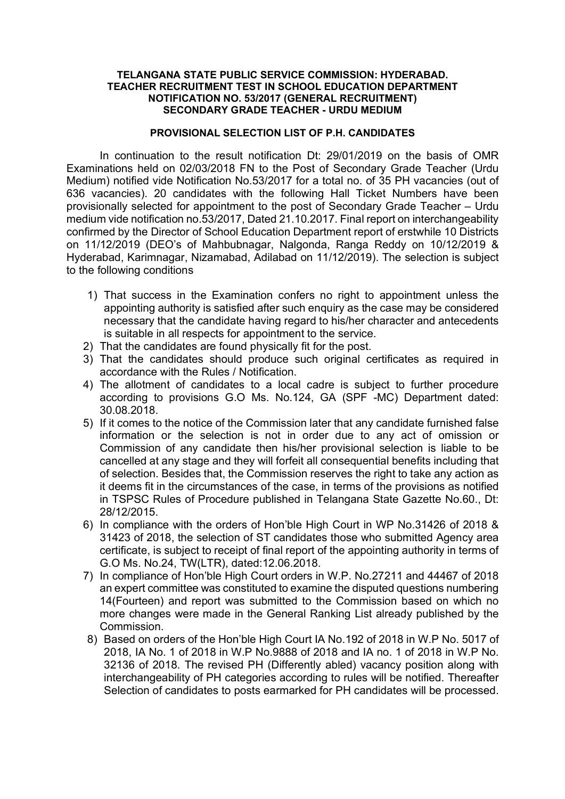## TELANGANA STATE PUBLIC SERVICE COMMISSION: HYDERABAD. TEACHER RECRUITMENT TEST IN SCHOOL EDUCATION DEPARTMENT NOTIFICATION NO. 53/2017 (GENERAL RECRUITMENT) SECONDARY GRADE TEACHER - URDU MEDIUM

# PROVISIONAL SELECTION LIST OF P.H. CANDIDATES

In continuation to the result notification Dt: 29/01/2019 on the basis of OMR Examinations held on 02/03/2018 FN to the Post of Secondary Grade Teacher (Urdu Medium) notified vide Notification No.53/2017 for a total no. of 35 PH vacancies (out of 636 vacancies). 20 candidates with the following Hall Ticket Numbers have been provisionally selected for appointment to the post of Secondary Grade Teacher – Urdu medium vide notification no.53/2017, Dated 21.10.2017. Final report on interchangeability confirmed by the Director of School Education Department report of erstwhile 10 Districts on 11/12/2019 (DEO's of Mahbubnagar, Nalgonda, Ranga Reddy on 10/12/2019 & Hyderabad, Karimnagar, Nizamabad, Adilabad on 11/12/2019). The selection is subject to the following conditions

- 1) That success in the Examination confers no right to appointment unless the appointing authority is satisfied after such enquiry as the case may be considered necessary that the candidate having regard to his/her character and antecedents is suitable in all respects for appointment to the service.
- 2) That the candidates are found physically fit for the post.
- 3) That the candidates should produce such original certificates as required in accordance with the Rules / Notification.
- 4) The allotment of candidates to a local cadre is subject to further procedure according to provisions G.O Ms. No.124, GA (SPF -MC) Department dated: 30.08.2018.
- 5) If it comes to the notice of the Commission later that any candidate furnished false information or the selection is not in order due to any act of omission or Commission of any candidate then his/her provisional selection is liable to be cancelled at any stage and they will forfeit all consequential benefits including that of selection. Besides that, the Commission reserves the right to take any action as it deems fit in the circumstances of the case, in terms of the provisions as notified in TSPSC Rules of Procedure published in Telangana State Gazette No.60., Dt: 28/12/2015.
- 6) In compliance with the orders of Hon'ble High Court in WP No.31426 of 2018 & 31423 of 2018, the selection of ST candidates those who submitted Agency area certificate, is subject to receipt of final report of the appointing authority in terms of G.O Ms. No.24, TW(LTR), dated:12.06.2018.
- 7) In compliance of Hon'ble High Court orders in W.P. No.27211 and 44467 of 2018 an expert committee was constituted to examine the disputed questions numbering 14(Fourteen) and report was submitted to the Commission based on which no more changes were made in the General Ranking List already published by the Commission.
- 8) Based on orders of the Hon'ble High Court IA No.192 of 2018 in W.P No. 5017 of 2018, IA No. 1 of 2018 in W.P No.9888 of 2018 and IA no. 1 of 2018 in W.P No. 32136 of 2018. The revised PH (Differently abled) vacancy position along with interchangeability of PH categories according to rules will be notified. Thereafter Selection of candidates to posts earmarked for PH candidates will be processed.